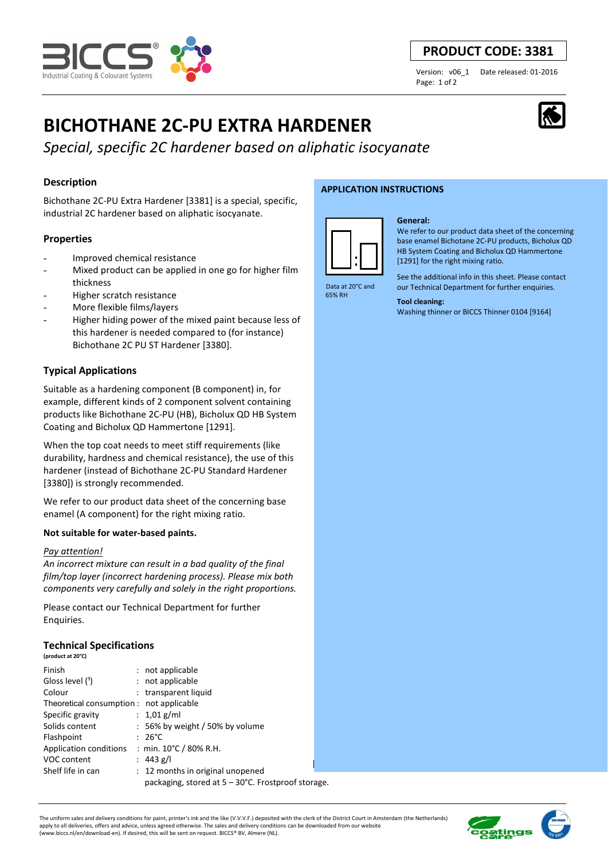

# **PRODUCT CODE: 3381**

Page: 1 of 2

Version: v06\_1 Date released: 01-2016

# **BICHOTHANE 2C-PU EXTRA HARDENER**

*Special, specific 2C hardener based on aliphatic isocyanate* 

# **Description**

Bichothane 2C-PU Extra Hardener [3381] is a special, specific, industrial 2C hardener based on aliphatic isocyanate.

# **Properties**

- Improved chemical resistance
- Mixed product can be applied in one go for higher film thickness
- Higher scratch resistance
- More flexible films/layers
- Higher hiding power of the mixed paint because less of this hardener is needed compared to (for instance) Bichothane 2C PU ST Hardener [3380].

# **Typical Applications**

Suitable as a hardening component (B component) in, for example, different kinds of 2 component solvent containing products like Bichothane 2C-PU (HB), Bicholux QD HB System Coating and Bicholux QD Hammertone [1291].

When the top coat needs to meet stiff requirements (like durability, hardness and chemical resistance), the use of this hardener (instead of Bichothane 2C-PU Standard Hardener [3380]) is strongly recommended.

We refer to our product data sheet of the concerning base enamel (A component) for the right mixing ratio.

# **Not suitable for water-based paints.**

#### *Pay attention!*

*An incorrect mixture can result in a bad quality of the final film/top layer (incorrect hardening process). Please mix both components very carefully and solely in the right proportions.* 

Please contact our Technical Department for further Enquiries.

# **Technical Specifications**

| (product at 20°C) |  |  |  |
|-------------------|--|--|--|
|-------------------|--|--|--|

| Finish                                             |  | : not applicable                   |  |
|----------------------------------------------------|--|------------------------------------|--|
| Gloss level (1)                                    |  | : not applicable                   |  |
| Colour                                             |  | : transparent liquid               |  |
| Theoretical consumption : not applicable           |  |                                    |  |
| Specific gravity                                   |  | : $1.01$ g/ml                      |  |
| Solids content                                     |  | $: 56\%$ by weight / 50% by volume |  |
| Flashpoint                                         |  | $: 26^{\circ}$ C                   |  |
| Application conditions                             |  | : min. $10^{\circ}$ C / 80% R.H.   |  |
| VOC content                                        |  | : 443 g/l                          |  |
| Shelf life in can                                  |  | : 12 months in original unopened   |  |
| packaging, stored at 5 – 30°C. Frostproof storage. |  |                                    |  |

#### **APPLICATION INSTRUCTIONS**



65% RH

# **General:**

We refer to our product data sheet of the concerning base enamel Bichotane 2C-PU products, Bicholux QD HB System Coating and Bicholux QD Hammertone [1291] for the right mixing ratio.

See the additional info in this sheet. Please contact our Technical Department for further enquiries.

#### **Tool cleaning:**

Washing thinner or BICCS Thinner 0104 [9164]



The uniform sales and delivery conditions for paint, printer's ink and the like (V.V.V.F.) deposited with the clerk of the District Court in Amsterdam (the Netherlands) apply to all deliveries, offers and advice, unless agreed otherwise. The sales and delivery conditions can be downloaded from our website (www.biccs.nl/en/download-en). If desired, this will be sent on request. BICCS® BV, Almere (NL).